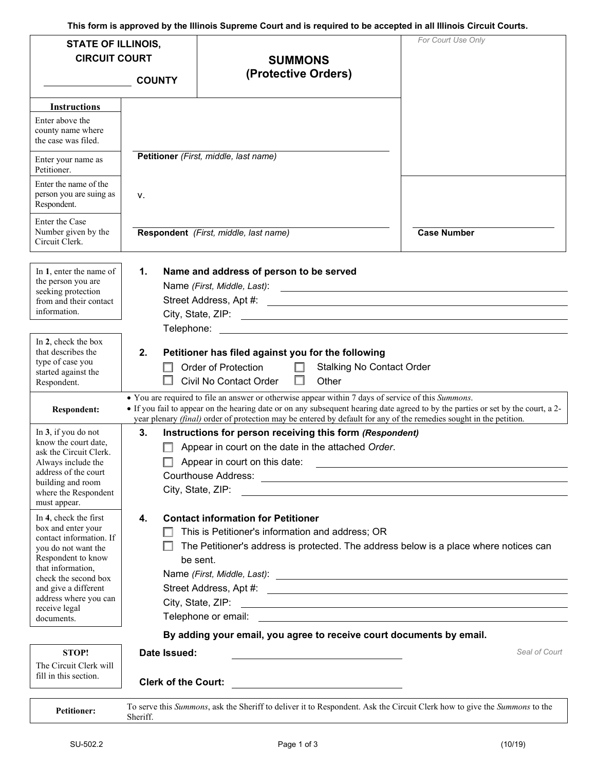**This form is approved by the Illinois Supreme Court and is required to be accepted in all Illinois Circuit Courts.** 

| <b>STATE OF ILLINOIS,</b><br><b>CIRCUIT COURT</b>                                                                                                                                                                 |                                                                                                                                                                                                                                                                                                                                                              | <b>SUMMONS</b>                                                                                                                                                                                                                                              | For Court Use Only |  |
|-------------------------------------------------------------------------------------------------------------------------------------------------------------------------------------------------------------------|--------------------------------------------------------------------------------------------------------------------------------------------------------------------------------------------------------------------------------------------------------------------------------------------------------------------------------------------------------------|-------------------------------------------------------------------------------------------------------------------------------------------------------------------------------------------------------------------------------------------------------------|--------------------|--|
|                                                                                                                                                                                                                   | <b>COUNTY</b>                                                                                                                                                                                                                                                                                                                                                | (Protective Orders)                                                                                                                                                                                                                                         |                    |  |
| <b>Instructions</b><br>Enter above the<br>county name where<br>the case was filed.                                                                                                                                |                                                                                                                                                                                                                                                                                                                                                              |                                                                                                                                                                                                                                                             |                    |  |
| Enter your name as<br>Petitioner.                                                                                                                                                                                 |                                                                                                                                                                                                                                                                                                                                                              | Petitioner (First, middle, last name)                                                                                                                                                                                                                       |                    |  |
| Enter the name of the<br>person you are suing as<br>Respondent.                                                                                                                                                   | ν.                                                                                                                                                                                                                                                                                                                                                           |                                                                                                                                                                                                                                                             |                    |  |
| Enter the Case<br>Number given by the<br>Circuit Clerk.                                                                                                                                                           |                                                                                                                                                                                                                                                                                                                                                              | Respondent (First, middle, last name)                                                                                                                                                                                                                       | <b>Case Number</b> |  |
| In 1, enter the name of<br>the person you are<br>seeking protection<br>from and their contact<br>information.                                                                                                     | $\mathbf 1$ .                                                                                                                                                                                                                                                                                                                                                | Name and address of person to be served                                                                                                                                                                                                                     |                    |  |
| In 2, check the box<br>that describes the<br>type of case you<br>started against the<br>Respondent.                                                                                                               | Telephone:<br>2.                                                                                                                                                                                                                                                                                                                                             | Petitioner has filed against you for the following<br>Order of Protection<br><b>Stalking No Contact Order</b><br>П<br>Civil No Contact Order<br>Other                                                                                                       |                    |  |
| <b>Respondent:</b>                                                                                                                                                                                                | • You are required to file an answer or otherwise appear within 7 days of service of this Summons.<br>• If you fail to appear on the hearing date or on any subsequent hearing date agreed to by the parties or set by the court, a 2-<br>year plenary (final) order of protection may be entered by default for any of the remedies sought in the petition. |                                                                                                                                                                                                                                                             |                    |  |
| In 3, if you do not<br>know the court date,<br>ask the Circuit Clerk.<br>Always include the<br>address of the court<br>building and room<br>where the Respondent<br>must appear.                                  | 3.                                                                                                                                                                                                                                                                                                                                                           | Instructions for person receiving this form (Respondent)<br>Appear in court on the date in the attached Order.<br>Appear in court on this date:<br>City, State, ZIP:                                                                                        |                    |  |
| In 4, check the first<br>box and enter your<br>contact information. If<br>you do not want the<br>Respondent to know<br>that information,<br>check the second box<br>and give a different<br>address where you can | 4.                                                                                                                                                                                                                                                                                                                                                           | <b>Contact information for Petitioner</b><br>This is Petitioner's information and address; OR<br>The Petitioner's address is protected. The address below is a place where notices can<br>be sent.<br>City, State, ZIP: 2008. Express and City, State, ZIP: |                    |  |
| receive legal<br>documents.                                                                                                                                                                                       |                                                                                                                                                                                                                                                                                                                                                              |                                                                                                                                                                                                                                                             |                    |  |
|                                                                                                                                                                                                                   |                                                                                                                                                                                                                                                                                                                                                              | By adding your email, you agree to receive court documents by email.                                                                                                                                                                                        |                    |  |
| <b>STOP!</b><br>The Circuit Clerk will<br>fill in this section.                                                                                                                                                   | Date Issued:<br><b>Clerk of the Court:</b>                                                                                                                                                                                                                                                                                                                   | <u> 1989 - Andrea State Barbara, política establece</u>                                                                                                                                                                                                     | Seal of Court      |  |
| <b>Petitioner:</b>                                                                                                                                                                                                | Sheriff.                                                                                                                                                                                                                                                                                                                                                     | To serve this Summons, ask the Sheriff to deliver it to Respondent. Ask the Circuit Clerk how to give the Summons to the                                                                                                                                    |                    |  |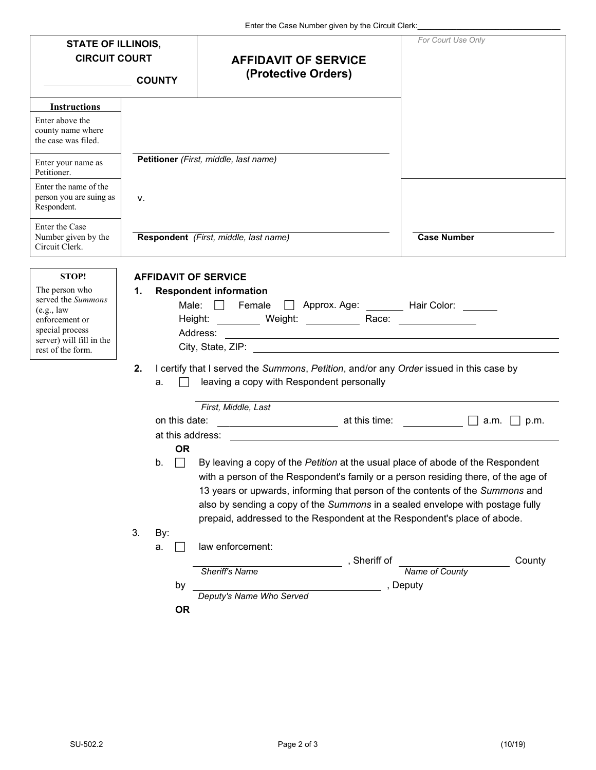|                                                                                                                                           |                                                | Enter the Case Number given by the Circuit Clerk:                                                                                                                                                                                                                                                                                                                                                                   |                                 |
|-------------------------------------------------------------------------------------------------------------------------------------------|------------------------------------------------|---------------------------------------------------------------------------------------------------------------------------------------------------------------------------------------------------------------------------------------------------------------------------------------------------------------------------------------------------------------------------------------------------------------------|---------------------------------|
| <b>STATE OF ILLINOIS,</b><br><b>CIRCUIT COURT</b>                                                                                         |                                                | <b>AFFIDAVIT OF SERVICE</b>                                                                                                                                                                                                                                                                                                                                                                                         | For Court Use Only              |
|                                                                                                                                           | <b>COUNTY</b>                                  | (Protective Orders)                                                                                                                                                                                                                                                                                                                                                                                                 |                                 |
| <b>Instructions</b>                                                                                                                       |                                                |                                                                                                                                                                                                                                                                                                                                                                                                                     |                                 |
| Enter above the<br>county name where<br>the case was filed.                                                                               |                                                |                                                                                                                                                                                                                                                                                                                                                                                                                     |                                 |
| Enter your name as<br>Petitioner.                                                                                                         |                                                | Petitioner (First, middle, last name)                                                                                                                                                                                                                                                                                                                                                                               |                                 |
| Enter the name of the<br>person you are suing as<br>Respondent.                                                                           | v.                                             |                                                                                                                                                                                                                                                                                                                                                                                                                     |                                 |
| Enter the Case<br>Number given by the<br>Circuit Clerk.                                                                                   |                                                | Respondent (First, middle, last name)                                                                                                                                                                                                                                                                                                                                                                               | <b>Case Number</b>              |
| STOP!                                                                                                                                     | <b>AFFIDAVIT OF SERVICE</b>                    |                                                                                                                                                                                                                                                                                                                                                                                                                     |                                 |
| The person who<br>served the Summons<br>(e.g., law)<br>enforcement or<br>special process<br>server) will fill in the<br>rest of the form. | 1.                                             | <b>Respondent information</b><br>Female<br>Male: $\Box$<br>Height: ___________ Weight: _____________ Race: __________________<br>City, State, ZIP: <u>contract and contract and contract and contract and contract and contract and contract and contract and contract and contract and contract and contract and contract and contract and contract and contract</u>                                               | Approx. Age: Hair Color: ______ |
|                                                                                                                                           | 2.<br>a.                                       | I certify that I served the Summons, Petition, and/or any Order issued in this case by<br>leaving a copy with Respondent personally                                                                                                                                                                                                                                                                                 |                                 |
|                                                                                                                                           | on this date:<br>at this address:<br><b>OR</b> | First, Middle, Last                                                                                                                                                                                                                                                                                                                                                                                                 | a.m. $\Box$ p.m.                |
|                                                                                                                                           | b.                                             | By leaving a copy of the Petition at the usual place of abode of the Respondent<br>with a person of the Respondent's family or a person residing there, of the age of<br>13 years or upwards, informing that person of the contents of the Summons and<br>also by sending a copy of the Summons in a sealed envelope with postage fully<br>prepaid, addressed to the Respondent at the Respondent's place of abode. |                                 |
|                                                                                                                                           | 3.<br>By:                                      |                                                                                                                                                                                                                                                                                                                                                                                                                     |                                 |
|                                                                                                                                           | a.                                             | law enforcement:<br>, Sheriff of<br>Sheriff's Name                                                                                                                                                                                                                                                                                                                                                                  | County<br>Name of County        |
|                                                                                                                                           | by<br><b>OR</b>                                | Deputy's Name Who Served                                                                                                                                                                                                                                                                                                                                                                                            | , Deputy                        |